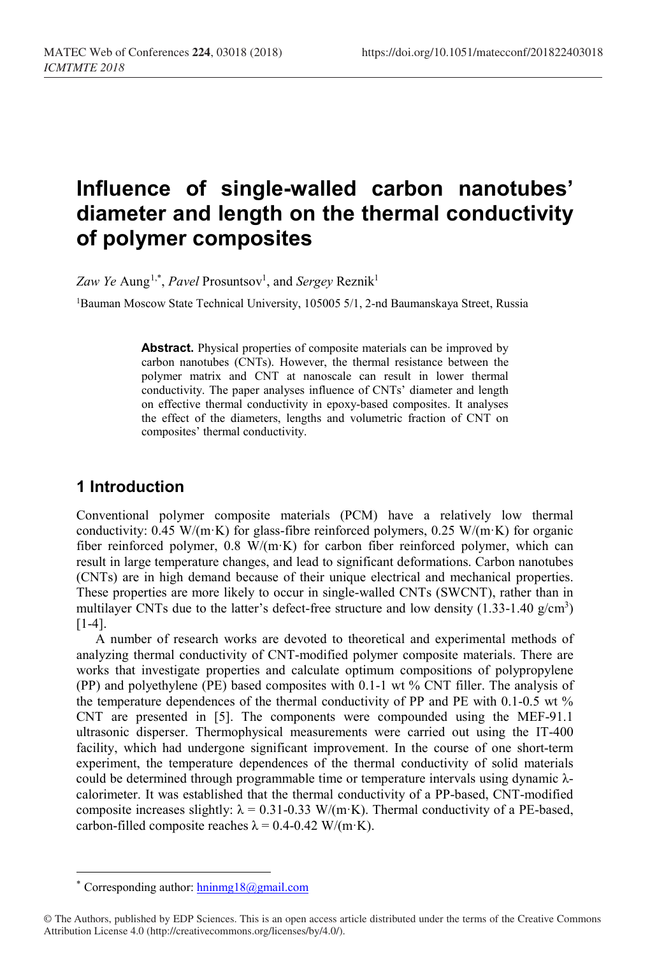# **Influence of single-walled carbon nanotubes' diameter and length on the thermal conductivity of polymer composites**

Zaw Ye Aung<sup>[1,](#page-0-0)\*</sup>, *Pavel* Prosuntsov<sup>1</sup>, and *Sergey* Reznik<sup>1</sup>

1Bauman Moscow State Technical University, 105005 5/1, 2-nd Baumanskaya Street, Russia

**Abstract.** Physical properties of composite materials can be improved by carbon nanotubes (CNTs). However, the thermal resistance between the polymer matrix and CNT at nanoscale can result in lower thermal conductivity. The paper analyses influence of CNTs' diameter and length on effective thermal conductivity in epoxy-based composites. It analyses the effect of the diameters, lengths and volumetric fraction of CNT on composites' thermal conductivity.

#### **1 Introduction**

Conventional polymer composite materials (PCM) have a relatively low thermal conductivity:  $0.45 \text{ W/(m·K)}$  for glass-fibre reinforced polymers,  $0.25 \text{ W/(m·K)}$  for organic fiber reinforced polymer, 0.8 W/(m·K) for carbon fiber reinforced polymer, which can result in large temperature changes, and lead to significant deformations. Carbon nanotubes (CNTs) are in high demand because of their unique electrical and mechanical properties. These properties are more likely to occur in single-walled CNTs (SWCNT), rather than in multilayer CNTs due to the latter's defect-free structure and low density  $(1.33-1.40 \text{ g/cm}^3)$ [1-4].

A number of research works are devoted to theoretical and experimental methods of analyzing thermal conductivity of CNT-modified polymer composite materials. There are works that investigate properties and calculate optimum compositions of polypropylene (PP) and polyethylene (PE) based composites with 0.1-1 wt % CNT filler. The analysis of the temperature dependences of the thermal conductivity of PP and PE with 0.1-0.5 wt % CNT are presented in [5]. The components were compounded using the MEF-91.1 ultrasonic disperser. Thermophysical measurements were carried out using the IT-400 facility, which had undergone significant improvement. In the course of one short-term experiment, the temperature dependences of the thermal conductivity of solid materials could be determined through programmable time or temperature intervals using dynamic λcalorimeter. It was established that the thermal conductivity of a PP-based, CNT-modified composite increases slightly:  $\lambda = 0.31$ -0.33 W/(m·K). Thermal conductivity of a PE-based, carbon-filled composite reaches  $\lambda = 0.4$ -0.42 W/(m·K).

 $\overline{\phantom{a}}$ 

Corresponding author:  $\frac{\text{hning18}(a)$ gmail.com

<span id="page-0-0"></span><sup>©</sup> The Authors, published by EDP Sciences. This is an open access article distributed under the terms of the Creative Commons Attribution License 4.0 (http://creativecommons.org/licenses/by/4.0/).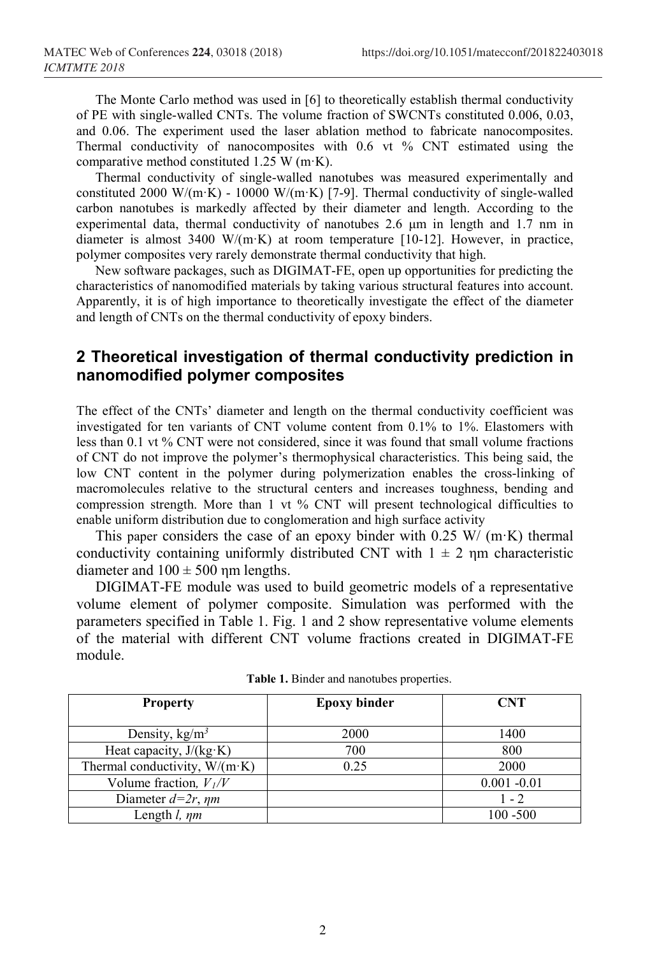The Monte Carlo method was used in [6] to theoretically establish thermal conductivity of PE with single-walled CNTs. The volume fraction of SWCNTs constituted 0.006, 0.03, and 0.06. The experiment used the laser ablation method to fabricate nanocomposites. Thermal conductivity of nanocomposites with 0.6 vt % CNT estimated using the comparative method constituted 1.25 W (m·K).

Thermal conductivity of single-walled nanotubes was measured experimentally and constituted 2000 W/(m·K) - 10000 W/(m·K) [7-9]. Thermal conductivity of single-walled carbon nanotubes is markedly affected by their diameter and length. According to the experimental data, thermal conductivity of nanotubes 2.6 μm in length and 1.7 nm in diameter is almost 3400 W/(m·K) at room temperature [10-12]. However, in practice, polymer composites very rarely demonstrate thermal conductivity that high.

New software packages, such as DIGIMAT-FE, open up opportunities for predicting the characteristics of nanomodified materials by taking various structural features into account. Apparently, it is of high importance to theoretically investigate the effect of the diameter and length of CNTs on the thermal conductivity of epoxy binders.

## **2 Theoretical investigation of thermal conductivity prediction in nanomodified polymer composites**

The effect of the CNTs' diameter and length on the thermal conductivity coefficient was investigated for ten variants of CNT volume content from 0.1% to 1%. Elastomers with less than 0.1 vt  $\%$  CNT were not considered, since it was found that small volume fractions of CNT do not improve the polymer's thermophysical characteristics. This being said, the low CNT content in the polymer during polymerization enables the cross-linking of macromolecules relative to the structural centers and increases toughness, bending and compression strength. More than 1 vt % CNT will present technological difficulties to enable uniform distribution due to conglomeration and high surface activity

This paper considers the case of an epoxy binder with  $0.25 \text{ W} / (\text{m} \cdot \text{K})$  thermal conductivity containing uniformly distributed CNT with  $1 \pm 2$  nm characteristic diameter and  $100 \pm 500$  nm lengths.

DIGIMAT-FE module was used to build geometric models of a representative volume element of polymer composite. Simulation was performed with the parameters specified in Table 1. Fig. 1 and 2 show representative volume elements of the material with different CNT volume fractions created in DIGIMAT-FE module.

| <b>Property</b>                       | <b>Epoxy binder</b> | <b>CNT</b>     |
|---------------------------------------|---------------------|----------------|
|                                       |                     |                |
| Density, $\text{kg/m}^3$              | 2000                | 1400           |
| Heat capacity, $J/(kg·K)$             | 700                 | 800            |
| Thermal conductivity, $W/(m \cdot K)$ | 0.25                | 2000           |
| Volume fraction, $V_I/V$              |                     | $0.001 - 0.01$ |
| Diameter $d=2r$ , $\eta m$            |                     | $1 - 2$        |
| Length $l$ , $\eta m$                 |                     | $100 - 500$    |

**Table 1.** Binder and nanotubes properties.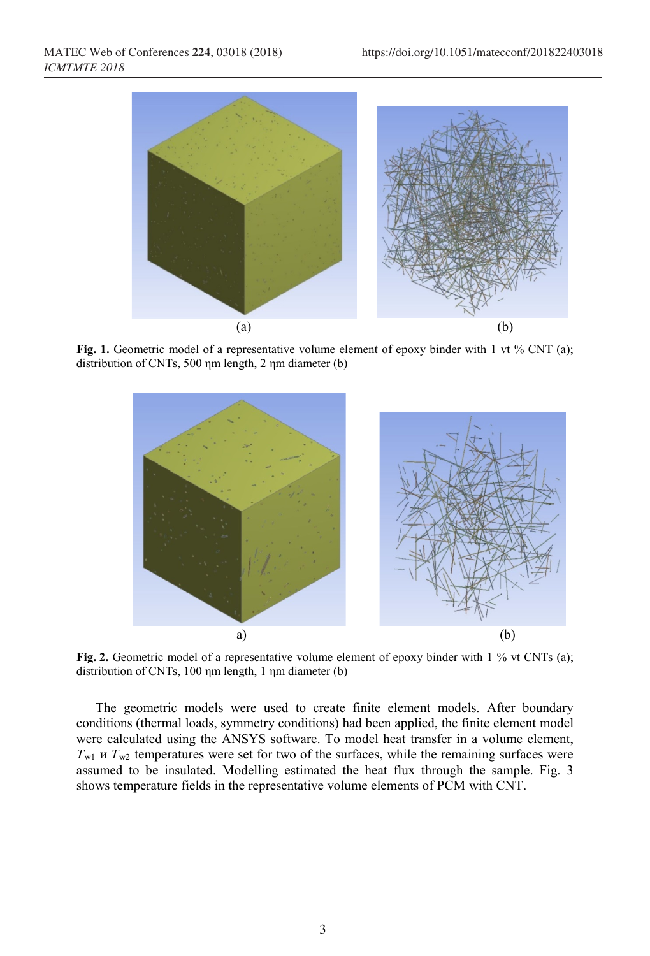

Fig. 1. Geometric model of a representative volume element of epoxy binder with 1 vt % CNT (a); distribution of CNTs, 500 ηm length, 2 ηm diameter (b)



**Fig. 2.** Geometric model of a representative volume element of epoxy binder with 1 % vt CNTs (a); distribution of CNTs, 100 ηm length, 1 ηm diameter (b)

The geometric models were used to create finite element models. After boundary conditions (thermal loads, symmetry conditions) had been applied, the finite element model were calculated using the ANSYS software. To model heat transfer in a volume element,  $T_{w1}$  *u*  $T_{w2}$  temperatures were set for two of the surfaces, while the remaining surfaces were assumed to be insulated. Modelling estimated the heat flux through the sample. Fig. 3 shows temperature fields in the representative volume elements of PCM with CNT.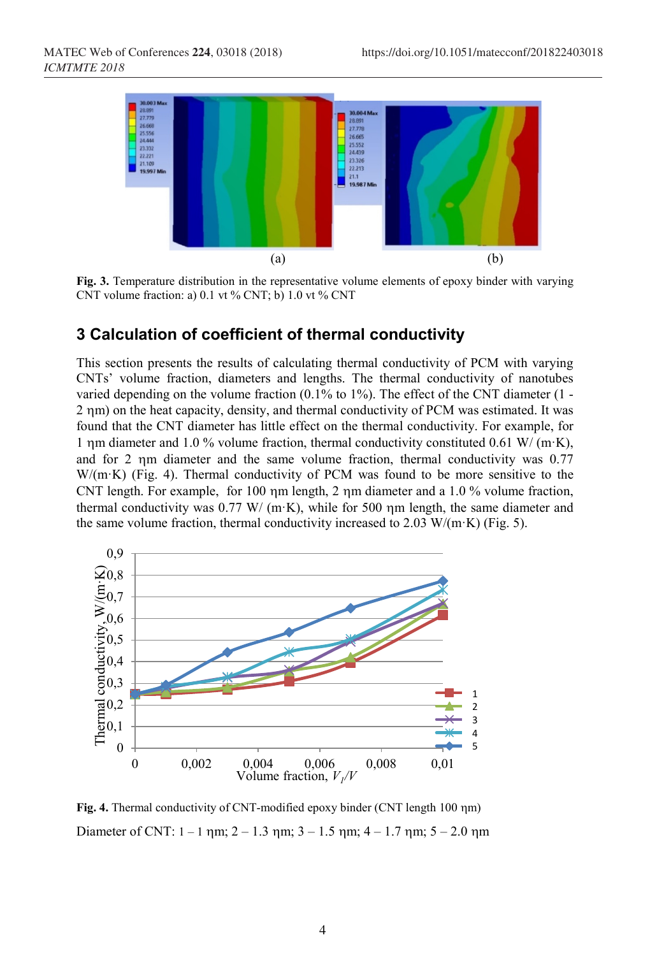

**Fig. 3.** Temperature distribution in the representative volume elements of epoxy binder with varying CNT volume fraction: a)  $0.1$  vt % CNT; b)  $1.0$  vt % CNT

#### **3 Calculation of coefficient of thermal conductivity**

This section presents the results of calculating thermal conductivity of PCM with varying CNTs' volume fraction, diameters and lengths. The thermal conductivity of nanotubes varied depending on the volume fraction (0.1% to 1%). The effect of the CNT diameter (1 - 2 ηm) on the heat capacity, density, and thermal conductivity of PCM was estimated. It was found that the CNT diameter has little effect on the thermal conductivity. For example, for 1 ηm diameter and 1.0 % volume fraction, thermal conductivity constituted 0.61 W/ (m·K), and for 2 ηm diameter and the same volume fraction, thermal conductivity was 0.77 W/(m·K) (Fig. 4). Thermal conductivity of PCM was found to be more sensitive to the CNT length. For example, for 100 ηm length, 2 ηm diameter and a 1.0 % volume fraction, thermal conductivity was  $0.77 \text{ W/(m·K)}$ , while for 500  $\eta$ m length, the same diameter and the same volume fraction, thermal conductivity increased to  $2.03 \text{ W/(m·K)}$  (Fig. 5).



**Fig. 4.** Thermal conductivity of CNT-modified epoxy binder (CNT length 100 ηm) Diameter of CNT:  $1 - 1$  nm;  $2 - 1.3$  nm;  $3 - 1.5$  nm;  $4 - 1.7$  nm;  $5 - 2.0$  nm